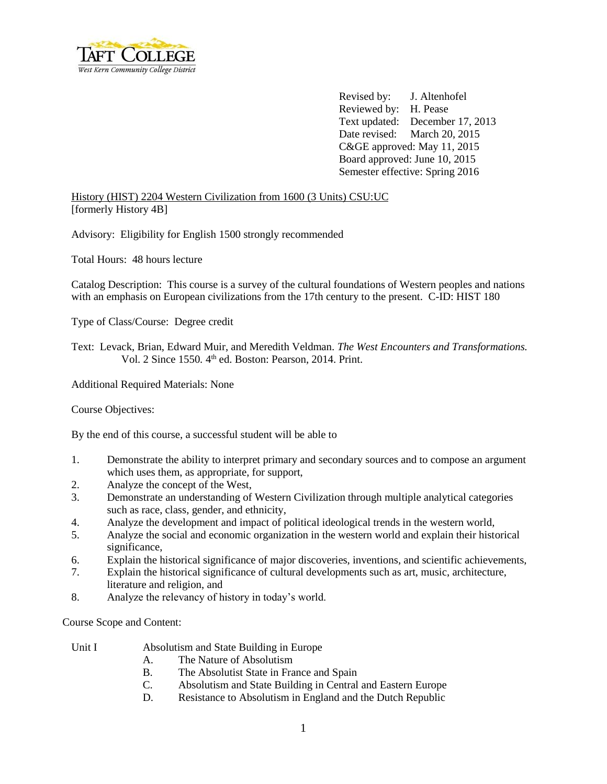

Revised by: J. Altenhofel Reviewed by: H. Pease Text updated: December 17, 2013 Date revised: March 20, 2015 C&GE approved: May 11, 2015 Board approved: June 10, 2015 Semester effective: Spring 2016

History (HIST) 2204 Western Civilization from 1600 (3 Units) CSU:UC [formerly History 4B]

Advisory: Eligibility for English 1500 strongly recommended

Total Hours: 48 hours lecture

Catalog Description: This course is a survey of the cultural foundations of Western peoples and nations with an emphasis on European civilizations from the 17th century to the present. C-ID: HIST 180

Type of Class/Course: Degree credit

Text: Levack, Brian, Edward Muir, and Meredith Veldman. *The West Encounters and Transformations.* Vol. 2 Since 1550. 4<sup>th</sup> ed. Boston: Pearson, 2014. Print.

Additional Required Materials: None

Course Objectives:

By the end of this course, a successful student will be able to

- 1. Demonstrate the ability to interpret primary and secondary sources and to compose an argument which uses them, as appropriate, for support,
- 2. Analyze the concept of the West,
- 3. Demonstrate an understanding of Western Civilization through multiple analytical categories such as race, class, gender, and ethnicity,
- 4. Analyze the development and impact of political ideological trends in the western world,
- 5. Analyze the social and economic organization in the western world and explain their historical significance,
- 6. Explain the historical significance of major discoveries, inventions, and scientific achievements,
- 7. Explain the historical significance of cultural developments such as art, music, architecture, literature and religion, and
- 8. Analyze the relevancy of history in today's world.

Course Scope and Content:

- Unit I Absolutism and State Building in Europe
	- A. The Nature of Absolutism
	- B. The Absolutist State in France and Spain
	- C. Absolutism and State Building in Central and Eastern Europe
	- D. Resistance to Absolutism in England and the Dutch Republic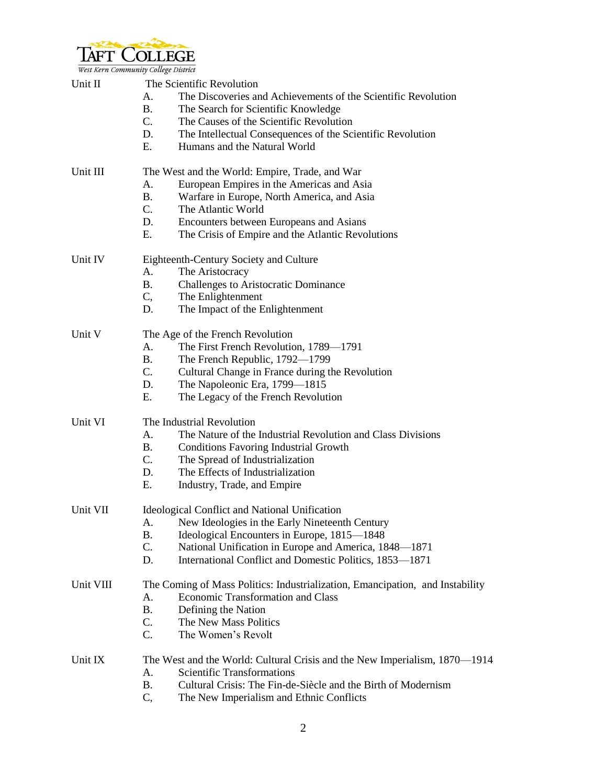

| Unit II   | The Scientific Revolution                                                     |  |  |  |
|-----------|-------------------------------------------------------------------------------|--|--|--|
|           | The Discoveries and Achievements of the Scientific Revolution<br>А.           |  |  |  |
|           | The Search for Scientific Knowledge<br>В.                                     |  |  |  |
|           | $C_{\cdot}$<br>The Causes of the Scientific Revolution                        |  |  |  |
|           | D.<br>The Intellectual Consequences of the Scientific Revolution              |  |  |  |
|           | E.<br>Humans and the Natural World                                            |  |  |  |
| Unit III  | The West and the World: Empire, Trade, and War                                |  |  |  |
|           | European Empires in the Americas and Asia<br>A.                               |  |  |  |
|           | В.<br>Warfare in Europe, North America, and Asia                              |  |  |  |
|           | $C_{\cdot}$<br>The Atlantic World                                             |  |  |  |
|           | D.<br>Encounters between Europeans and Asians                                 |  |  |  |
|           | Е.<br>The Crisis of Empire and the Atlantic Revolutions                       |  |  |  |
|           |                                                                               |  |  |  |
| Unit IV   | Eighteenth-Century Society and Culture                                        |  |  |  |
|           | A.<br>The Aristocracy                                                         |  |  |  |
|           | <b>B.</b><br><b>Challenges to Aristocratic Dominance</b>                      |  |  |  |
|           | C,<br>The Enlightenment                                                       |  |  |  |
|           | D.<br>The Impact of the Enlightenment                                         |  |  |  |
| Unit V    | The Age of the French Revolution                                              |  |  |  |
|           | The First French Revolution, 1789—1791<br>А.                                  |  |  |  |
|           | В.<br>The French Republic, 1792-1799                                          |  |  |  |
|           | $C_{\cdot}$<br>Cultural Change in France during the Revolution                |  |  |  |
|           | The Napoleonic Era, 1799-1815<br>D.                                           |  |  |  |
|           | Е.<br>The Legacy of the French Revolution                                     |  |  |  |
| Unit VI   | The Industrial Revolution                                                     |  |  |  |
|           | The Nature of the Industrial Revolution and Class Divisions<br>A.             |  |  |  |
|           | В.<br><b>Conditions Favoring Industrial Growth</b>                            |  |  |  |
|           | $C_{\cdot}$                                                                   |  |  |  |
|           | The Spread of Industrialization<br>The Effects of Industrialization<br>D.     |  |  |  |
|           | Е.<br>Industry, Trade, and Empire                                             |  |  |  |
|           |                                                                               |  |  |  |
| Unit VII  | <b>Ideological Conflict and National Unification</b>                          |  |  |  |
|           | New Ideologies in the Early Nineteenth Century<br>A.                          |  |  |  |
|           | Ideological Encounters in Europe, 1815-1848<br><b>B.</b>                      |  |  |  |
|           | C.<br>National Unification in Europe and America, 1848-1871                   |  |  |  |
|           | International Conflict and Domestic Politics, 1853-1871<br>D.                 |  |  |  |
| Unit VIII | The Coming of Mass Politics: Industrialization, Emancipation, and Instability |  |  |  |
|           | <b>Economic Transformation and Class</b><br>А.                                |  |  |  |
|           | <b>B.</b><br>Defining the Nation                                              |  |  |  |
|           | C.<br>The New Mass Politics                                                   |  |  |  |
|           | C.<br>The Women's Revolt                                                      |  |  |  |
| Unit IX   | The West and the World: Cultural Crisis and the New Imperialism, 1870—1914    |  |  |  |
|           | <b>Scientific Transformations</b><br>А.                                       |  |  |  |
|           | Cultural Crisis: The Fin-de-Siècle and the Birth of Modernism<br>Β.           |  |  |  |
|           | C,<br>The New Imperialism and Ethnic Conflicts                                |  |  |  |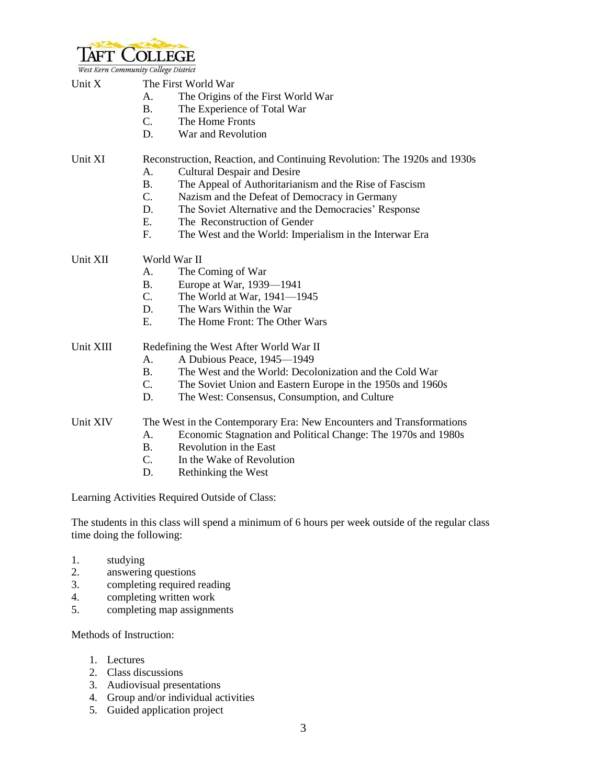

| west Kern Community Couege District |                                                                          |                                                               |  |  |
|-------------------------------------|--------------------------------------------------------------------------|---------------------------------------------------------------|--|--|
| Unit X                              | The First World War                                                      |                                                               |  |  |
|                                     | A.                                                                       | The Origins of the First World War                            |  |  |
|                                     | <b>B.</b>                                                                | The Experience of Total War                                   |  |  |
|                                     | C.                                                                       | The Home Fronts                                               |  |  |
|                                     | D.                                                                       | War and Revolution                                            |  |  |
| Unit XI                             | Reconstruction, Reaction, and Continuing Revolution: The 1920s and 1930s |                                                               |  |  |
|                                     | A.                                                                       | <b>Cultural Despair and Desire</b>                            |  |  |
|                                     | <b>B.</b>                                                                | The Appeal of Authoritarianism and the Rise of Fascism        |  |  |
|                                     | C.                                                                       | Nazism and the Defeat of Democracy in Germany                 |  |  |
|                                     | D.                                                                       | The Soviet Alternative and the Democracies' Response          |  |  |
|                                     | E.                                                                       | The Reconstruction of Gender                                  |  |  |
|                                     | F.                                                                       | The West and the World: Imperialism in the Interwar Era       |  |  |
| Unit XII                            | World War II                                                             |                                                               |  |  |
|                                     | A.                                                                       | The Coming of War                                             |  |  |
|                                     | <b>B.</b>                                                                | Europe at War, 1939—1941                                      |  |  |
|                                     | C.                                                                       | The World at War, $1941 - 1945$                               |  |  |
|                                     | D.                                                                       | The Wars Within the War                                       |  |  |
|                                     | E.                                                                       | The Home Front: The Other Wars                                |  |  |
| Unit XIII                           | Redefining the West After World War II                                   |                                                               |  |  |
|                                     | A.                                                                       | A Dubious Peace, 1945-1949                                    |  |  |
|                                     | <b>B.</b>                                                                | The West and the World: Decolonization and the Cold War       |  |  |
|                                     | C.                                                                       | The Soviet Union and Eastern Europe in the 1950s and 1960s    |  |  |
|                                     | D.                                                                       | The West: Consensus, Consumption, and Culture                 |  |  |
| Unit XIV                            | The West in the Contemporary Era: New Encounters and Transformations     |                                                               |  |  |
|                                     | A.                                                                       | Economic Stagnation and Political Change: The 1970s and 1980s |  |  |
|                                     | <b>B.</b>                                                                | Revolution in the East                                        |  |  |
|                                     | C.                                                                       | In the Wake of Revolution                                     |  |  |
|                                     | D.                                                                       | Rethinking the West                                           |  |  |
|                                     |                                                                          |                                                               |  |  |

Learning Activities Required Outside of Class:

The students in this class will spend a minimum of 6 hours per week outside of the regular class time doing the following:

- 1. studying
- 2. answering questions
- 3. completing required reading
- 4. completing written work
- 5. completing map assignments

Methods of Instruction:

- 1. Lectures
- 2. Class discussions
- 3. Audiovisual presentations
- 4. Group and/or individual activities
- 5. Guided application project